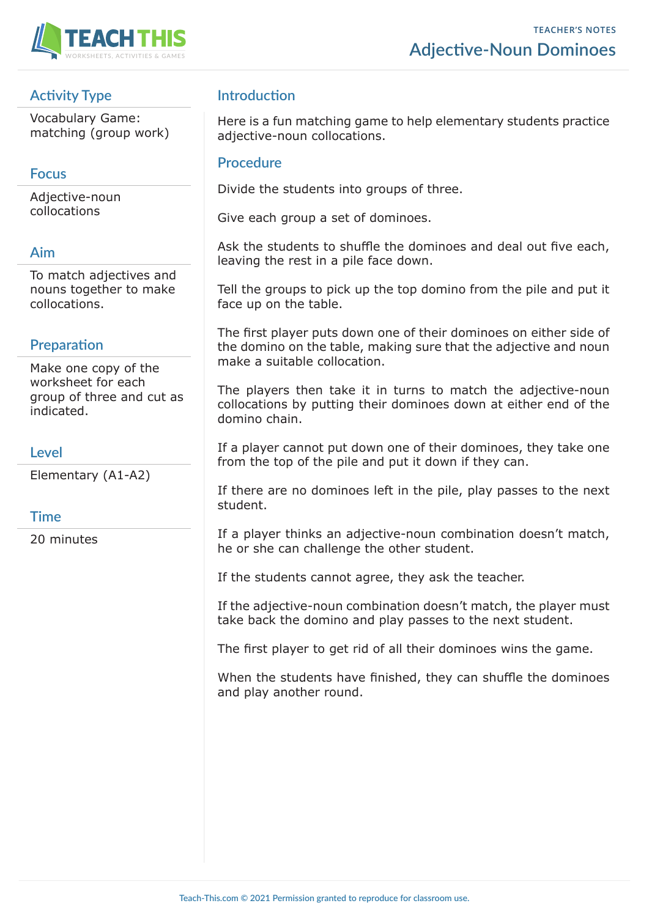



## **Activity Type**

Vocabulary Game: matching (group work)

## **Focus**

Adjective-noun collocations

#### **Aim**

To match adjectives and nouns together to make collocations.

## **Preparation**

Make one copy of the worksheet for each group of three and cut as indicated.

#### **Level**

Elementary (A1-A2)

#### **Time**

20 minutes

## **Introduction**

Here is a fun matching game to help elementary students practice adjective-noun collocations.

#### **Procedure**

Divide the students into groups of three.

Give each group a set of dominoes.

Ask the students to shuffle the dominoes and deal out five each, leaving the rest in a pile face down.

Tell the groups to pick up the top domino from the pile and put it face up on the table.

The first player puts down one of their dominoes on either side of the domino on the table, making sure that the adjective and noun make a suitable collocation.

The players then take it in turns to match the adjective-noun collocations by putting their dominoes down at either end of the domino chain.

If a player cannot put down one of their dominoes, they take one from the top of the pile and put it down if they can.

If there are no dominoes left in the pile, play passes to the next student.

If a player thinks an adjective-noun combination doesn't match, he or she can challenge the other student.

If the students cannot agree, they ask the teacher.

If the adjective-noun combination doesn't match, the player must take back the domino and play passes to the next student.

The first player to get rid of all their dominoes wins the game.

When the students have finished, they can shuffle the dominoes and play another round.